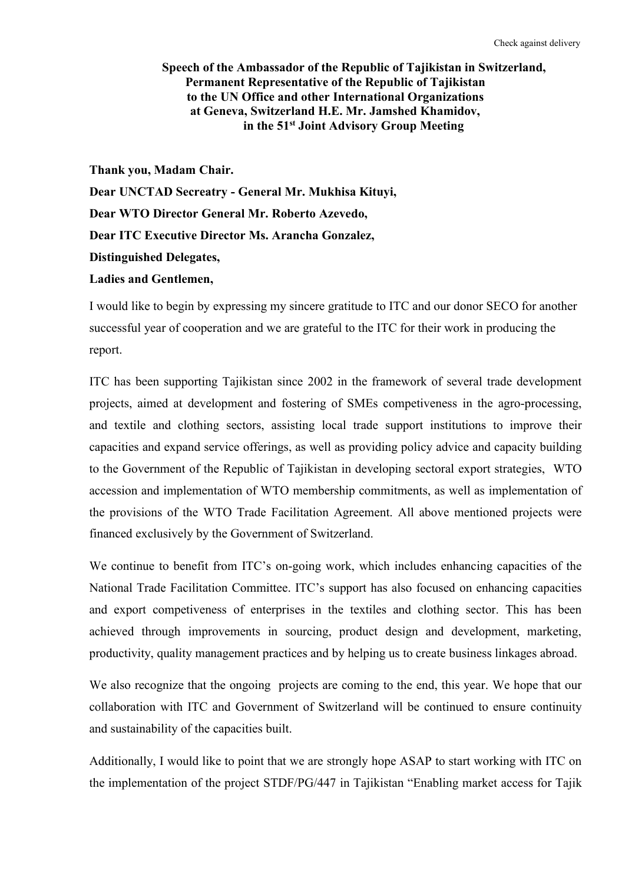## **Speech of the Ambassador of the Republic of Tajikistan in Switzerland, Permanent Representative of the Republic of Tajikistan to the UN Office and other International Organizations at Geneva, Switzerland H.E. Mr. Jamshed Khamidov, in the 51 st Joint Advisory Group Meeting**

**Thank you, Madam Chair. Dear UNCTAD Secreatry - GeneralMr. Mukhisa Kituyi, Dear WTO Director General Mr. Roberto Azevedo, Dear ITC Executive Director Ms. Arancha Gonzalez, Distinguished Delegates, Ladies and Gentlemen,**

I would like to begin by expressing my sincere gratitude to ITC and our donor SECO for another successful year of cooperation and we are grateful to the ITC for their work in producing the report.

ITC has been supporting Tajikistan since 2002 in the framework of several trade development projects, aimed at development and fostering of SMEs competiveness in the agro-processing, and textile and clothing sectors, assisting local trade support institutions to improve their capacities and expand service offerings, as well as providing policy advice and capacity building to the Government of the Republic of Tajikistan in developing sectoral export strategies, WTO accession and implementation of WTO membership commitments, as well as implementation of the provisions of the WTO Trade Facilitation Agreement. All above mentioned projects were financed exclusively by the Government of Switzerland.

We continue to benefit from ITC's on-going work, which includes enhancing capacities of the National Trade Facilitation Committee. ITC's support has also focused on enhancing capacities and export competiveness of enterprises in the textiles and clothing sector. This has been achieved through improvements in sourcing, product design and development, marketing, productivity, quality management practices and by helping us to create business linkages abroad.

We also recognize that the ongoing projects are coming to the end, this year. We hope that our collaboration with ITC and Government of Switzerland will be continued to ensure continuity and sustainability of the capacities built.

Additionally, I would like to point that we are strongly hope ASAP tostart working with ITC on the implementation of the project STDF/PG/447 in Tajikistan "Enabling market access for Tajik